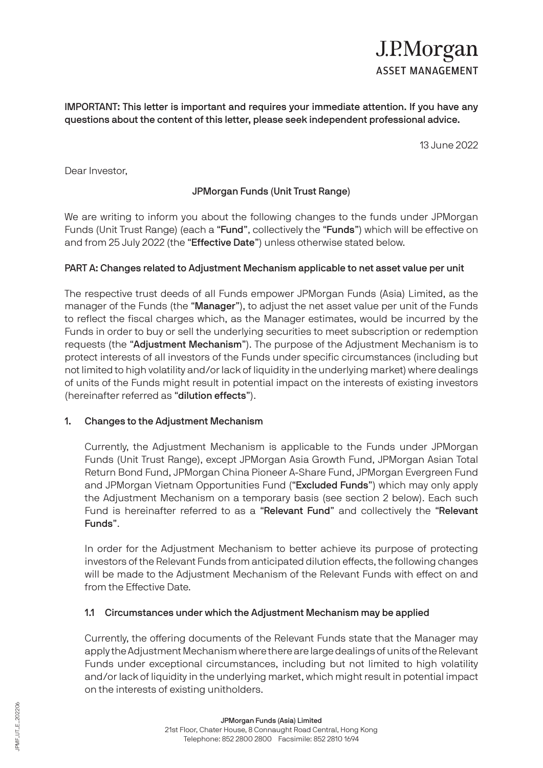# J.P.Morgan **ASSET MANAGEMENT**

IMPORTANT: This letter is important and requires your immediate attention. If you have any questions about the content of this letter, please seek independent professional advice.

13 June 2022

Dear Investor,

# JPMorgan Funds (Unit Trust Range)

We are writing to inform you about the following changes to the funds under JPMorgan Funds (Unit Trust Range) (each a "Fund", collectively the "Funds") which will be effective on and from 25 July 2022 (the "Effective Date") unless otherwise stated below.

# PART A: Changes related to Adjustment Mechanism applicable to net asset value per unit

The respective trust deeds of all Funds empower JPMorgan Funds (Asia) Limited, as the manager of the Funds (the "Manager"), to adjust the net asset value per unit of the Funds to reflect the fiscal charges which, as the Manager estimates, would be incurred by the Funds in order to buy or sell the underlying securities to meet subscription or redemption requests (the "Adjustment Mechanism"). The purpose of the Adjustment Mechanism is to protect interests of all investors of the Funds under specific circumstances (including but not limited to high volatility and/or lack of liquidity in the underlying market) where dealings of units of the Funds might result in potential impact on the interests of existing investors (hereinafter referred as "dilution effects").

## 1. Changes to the Adjustment Mechanism

Currently, the Adjustment Mechanism is applicable to the Funds under JPMorgan Funds (Unit Trust Range), except JPMorgan Asia Growth Fund, JPMorgan Asian Total Return Bond Fund, JPMorgan China Pioneer A-Share Fund, JPMorgan Evergreen Fund and JPMorgan Vietnam Opportunities Fund ("Excluded Funds") which may only apply the Adjustment Mechanism on a temporary basis (see section 2 below). Each such Fund is hereinafter referred to as a "Relevant Fund" and collectively the "Relevant Funds".

In order for the Adjustment Mechanism to better achieve its purpose of protecting investors of the Relevant Funds from anticipated dilution effects, the following changes will be made to the Adjustment Mechanism of the Relevant Funds with effect on and from the Effective Date.

# 1.1 Circumstances under which the Adjustment Mechanism may be applied

Currently, the offering documents of the Relevant Funds state that the Manager may apply the Adjustment Mechanism where there are large dealings of units of the Relevant Funds under exceptional circumstances, including but not limited to high volatility and/or lack of liquidity in the underlying market, which might result in potential impact on the interests of existing unitholders.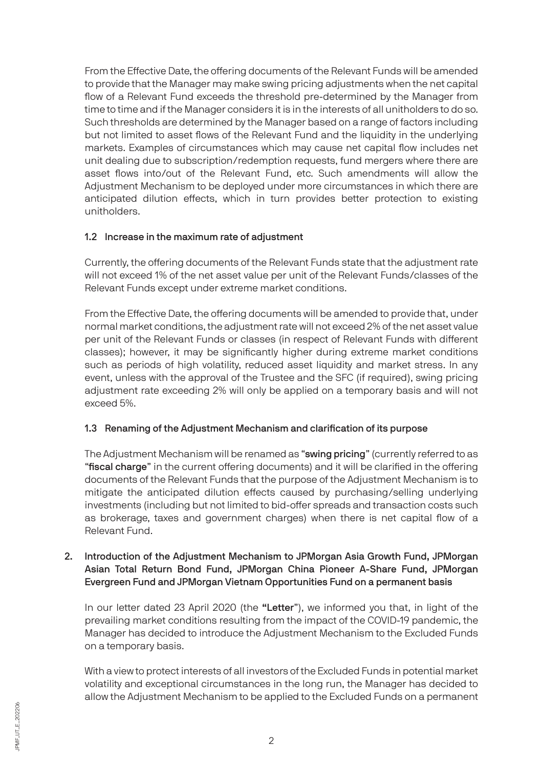From the Effective Date, the offering documents of the Relevant Funds will be amended to provide that the Manager may make swing pricing adjustments when the net capital flow of a Relevant Fund exceeds the threshold pre-determined by the Manager from time to time and if the Manager considers it is in the interests of all unitholders to do so. Such thresholds are determined by the Manager based on a range of factors including but not limited to asset flows of the Relevant Fund and the liquidity in the underlying markets. Examples of circumstances which may cause net capital flow includes net unit dealing due to subscription/redemption requests, fund mergers where there are asset flows into/out of the Relevant Fund, etc. Such amendments will allow the Adjustment Mechanism to be deployed under more circumstances in which there are anticipated dilution effects, which in turn provides better protection to existing unitholders.

# 1.2 Increase in the maximum rate of adjustment

Currently, the offering documents of the Relevant Funds state that the adjustment rate will not exceed 1% of the net asset value per unit of the Relevant Funds/classes of the Relevant Funds except under extreme market conditions.

From the Effective Date, the offering documents will be amended to provide that, under normal market conditions, the adjustment rate will not exceed 2% of the net asset value per unit of the Relevant Funds or classes (in respect of Relevant Funds with different classes); however, it may be significantly higher during extreme market conditions such as periods of high volatility, reduced asset liquidity and market stress. In any event, unless with the approval of the Trustee and the SFC (if required), swing pricing adjustment rate exceeding 2% will only be applied on a temporary basis and will not exceed 5%.

# 1.3 Renaming of the Adjustment Mechanism and clarification of its purpose

The Adjustment Mechanism will be renamed as "swing pricing" (currently referred to as "fiscal charge" in the current offering documents) and it will be clarified in the offering documents of the Relevant Funds that the purpose of the Adjustment Mechanism is to mitigate the anticipated dilution effects caused by purchasing/selling underlying investments (including but not limited to bid-offer spreads and transaction costs such as brokerage, taxes and government charges) when there is net capital flow of a Relevant Fund.

# 2. Introduction of the Adjustment Mechanism to JPMorgan Asia Growth Fund, JPMorgan Asian Total Return Bond Fund, JPMorgan China Pioneer A-Share Fund, JPMorgan Evergreen Fund and JPMorgan Vietnam Opportunities Fund on a permanent basis

In our letter dated 23 April 2020 (the "Letter"), we informed you that, in light of the prevailing market conditions resulting from the impact of the COVID-19 pandemic, the Manager has decided to introduce the Adjustment Mechanism to the Excluded Funds on a temporary basis.

With a view to protect interests of all investors of the Excluded Funds in potential market volatility and exceptional circumstances in the long run, the Manager has decided to allow the Adjustment Mechanism to be applied to the Excluded Funds on a permanent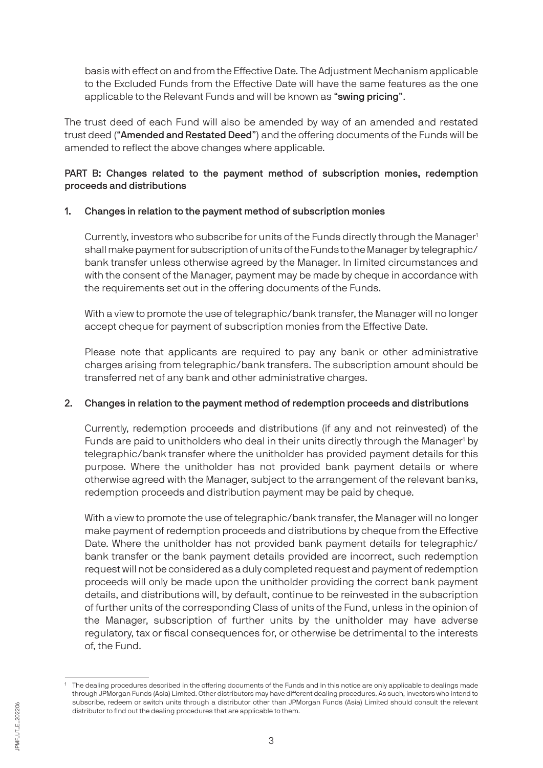basis with effect on and from the Effective Date. The Adjustment Mechanism applicable to the Excluded Funds from the Effective Date will have the same features as the one applicable to the Relevant Funds and will be known as "swing pricing".

The trust deed of each Fund will also be amended by way of an amended and restated trust deed ("Amended and Restated Deed") and the offering documents of the Funds will be amended to reflect the above changes where applicable.

# PART B: Changes related to the payment method of subscription monies, redemption proceeds and distributions

# 1. Changes in relation to the payment method of subscription monies

Currently, investors who subscribe for units of the Funds directly through the Manager<sup>1</sup> shall make payment for subscription of units of the Funds to the Manager by telegraphic/ bank transfer unless otherwise agreed by the Manager. In limited circumstances and with the consent of the Manager, payment may be made by cheque in accordance with the requirements set out in the offering documents of the Funds.

With a view to promote the use of telegraphic/bank transfer, the Manager will no longer accept cheque for payment of subscription monies from the Effective Date.

Please note that applicants are required to pay any bank or other administrative charges arising from telegraphic/bank transfers. The subscription amount should be transferred net of any bank and other administrative charges.

# 2. Changes in relation to the payment method of redemption proceeds and distributions

Currently, redemption proceeds and distributions (if any and not reinvested) of the Funds are paid to unitholders who deal in their units directly through the Manager<sup>1</sup> by telegraphic/bank transfer where the unitholder has provided payment details for this purpose. Where the unitholder has not provided bank payment details or where otherwise agreed with the Manager, subject to the arrangement of the relevant banks, redemption proceeds and distribution payment may be paid by cheque.

With a view to promote the use of telegraphic/bank transfer, the Manager will no longer make payment of redemption proceeds and distributions by cheque from the Effective Date. Where the unitholder has not provided bank payment details for telegraphic/ bank transfer or the bank payment details provided are incorrect, such redemption request will not be considered as a duly completed request and payment of redemption proceeds will only be made upon the unitholder providing the correct bank payment details, and distributions will, by default, continue to be reinvested in the subscription of further units of the corresponding Class of units of the Fund, unless in the opinion of the Manager, subscription of further units by the unitholder may have adverse regulatory, tax or fiscal consequences for, or otherwise be detrimental to the interests of, the Fund.

<sup>&</sup>lt;sup>1</sup> The dealing procedures described in the offering documents of the Funds and in this notice are only applicable to dealings made through JPMorgan Funds (Asia) Limited. Other distributors may have different dealing procedures. As such, investors who intend to subscribe, redeem or switch units through a distributor other than JPMorgan Funds (Asia) Limited should consult the relevant distributor to find out the dealing procedures that are applicable to them.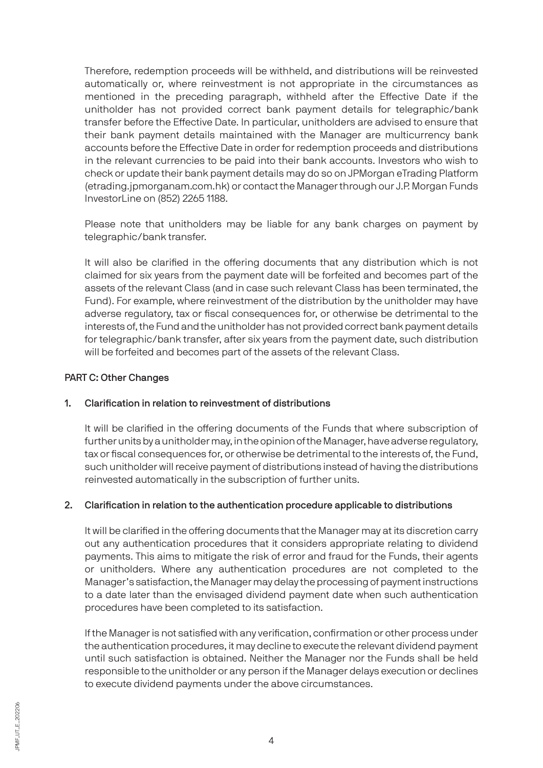Therefore, redemption proceeds will be withheld, and distributions will be reinvested automatically or, where reinvestment is not appropriate in the circumstances as mentioned in the preceding paragraph, withheld after the Effective Date if the unitholder has not provided correct bank payment details for telegraphic/bank transfer before the Effective Date. In particular, unitholders are advised to ensure that their bank payment details maintained with the Manager are multicurrency bank accounts before the Effective Date in order for redemption proceeds and distributions in the relevant currencies to be paid into their bank accounts. Investors who wish to check or update their bank payment details may do so on JPMorgan eTrading Platform (etrading.jpmorganam.com.hk) or contact the Manager through our J.P. Morgan Funds InvestorLine on (852) 2265 1188.

Please note that unitholders may be liable for any bank charges on payment by telegraphic/bank transfer.

It will also be clarified in the offering documents that any distribution which is not claimed for six years from the payment date will be forfeited and becomes part of the assets of the relevant Class (and in case such relevant Class has been terminated, the Fund). For example, where reinvestment of the distribution by the unitholder may have adverse regulatory, tax or fiscal consequences for, or otherwise be detrimental to the interests of, the Fund and the unitholder has not provided correct bank payment details for telegraphic/bank transfer, after six years from the payment date, such distribution will be forfeited and becomes part of the assets of the relevant Class.

## PART C: Other Changes

# 1. Clarification in relation to reinvestment of distributions

It will be clarified in the offering documents of the Funds that where subscription of further units by a unitholder may, in the opinion of the Manager, have adverse regulatory, tax or fiscal consequences for, or otherwise be detrimental to the interests of, the Fund, such unitholder will receive payment of distributions instead of having the distributions reinvested automatically in the subscription of further units.

# 2. Clarification in relation to the authentication procedure applicable to distributions

It will be clarified in the offering documents that the Manager may at its discretion carry out any authentication procedures that it considers appropriate relating to dividend payments. This aims to mitigate the risk of error and fraud for the Funds, their agents or unitholders. Where any authentication procedures are not completed to the Manager's satisfaction, the Manager may delay the processing of payment instructions to a date later than the envisaged dividend payment date when such authentication procedures have been completed to its satisfaction.

If the Manager is not satisfied with any verification, confirmation or other process under the authentication procedures, it may decline to execute the relevant dividend payment until such satisfaction is obtained. Neither the Manager nor the Funds shall be held responsible to the unitholder or any person if the Manager delays execution or declines to execute dividend payments under the above circumstances.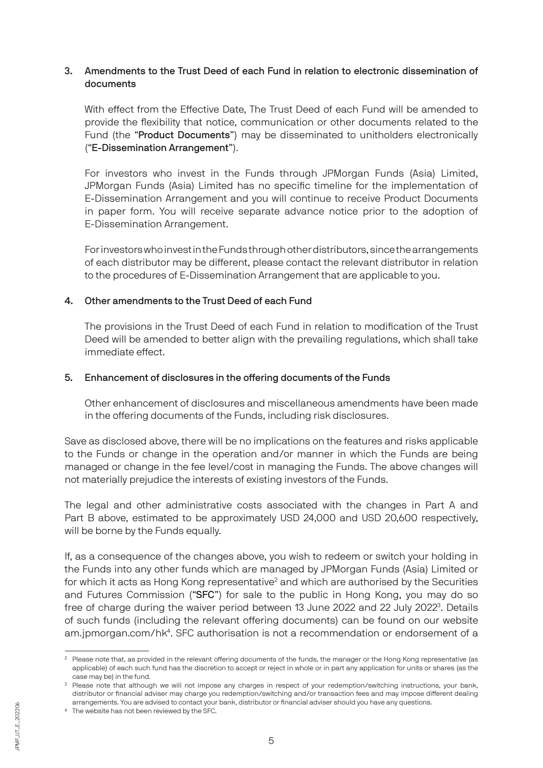## 3. Amendments to the Trust Deed of each Fund in relation to electronic dissemination of documents

With effect from the Effective Date, The Trust Deed of each Fund will be amended to provide the flexibility that notice, communication or other documents related to the Fund (the "Product Documents") may be disseminated to unitholders electronically ("E-Dissemination Arrangement").

For investors who invest in the Funds through JPMorgan Funds (Asia) Limited, JPMorgan Funds (Asia) Limited has no specific timeline for the implementation of E-Dissemination Arrangement and you will continue to receive Product Documents in paper form. You will receive separate advance notice prior to the adoption of E-Dissemination Arrangement.

For investors who invest in the Funds through other distributors, since the arrangements of each distributor may be different, please contact the relevant distributor in relation to the procedures of E-Dissemination Arrangement that are applicable to you.

## 4. Other amendments to the Trust Deed of each Fund

The provisions in the Trust Deed of each Fund in relation to modification of the Trust Deed will be amended to better align with the prevailing regulations, which shall take immediate effect.

## 5. Enhancement of disclosures in the offering documents of the Funds

Other enhancement of disclosures and miscellaneous amendments have been made in the offering documents of the Funds, including risk disclosures.

Save as disclosed above, there will be no implications on the features and risks applicable to the Funds or change in the operation and/or manner in which the Funds are being managed or change in the fee level/cost in managing the Funds. The above changes will not materially prejudice the interests of existing investors of the Funds.

The legal and other administrative costs associated with the changes in Part A and Part B above, estimated to be approximately USD 24,000 and USD 20,600 respectively, will be borne by the Funds equally.

If, as a consequence of the changes above, you wish to redeem or switch your holding in the Funds into any other funds which are managed by JPMorgan Funds (Asia) Limited or for which it acts as Hong Kong representative<sup>2</sup> and which are authorised by the Securities and Futures Commission ("SFC") for sale to the public in Hong Kong, you may do so free of charge during the waiver period between 13 June 2022 and 22 July 2022<sup>3</sup>. Details of such funds (including the relevant offering documents) can be found on our website am.jpmorgan.com/hk<sup>4</sup>. SFC authorisation is not a recommendation or endorsement of a

<sup>2</sup> Please note that, as provided in the relevant offering documents of the funds, the manager or the Hong Kong representative (as applicable) of each such fund has the discretion to accept or reject in whole or in part any application for units or shares (as the case may be) in the fund.

<sup>&</sup>lt;sup>3</sup> Please note that although we will not impose any charges in respect of your redemption/switching instructions, your bank, distributor or financial adviser may charge you redemption/switching and/or transaction fees and may impose different dealing arrangements. You are advised to contact your bank, distributor or financial adviser should you have any questions.

<sup>4</sup> The website has not been reviewed by the SFC.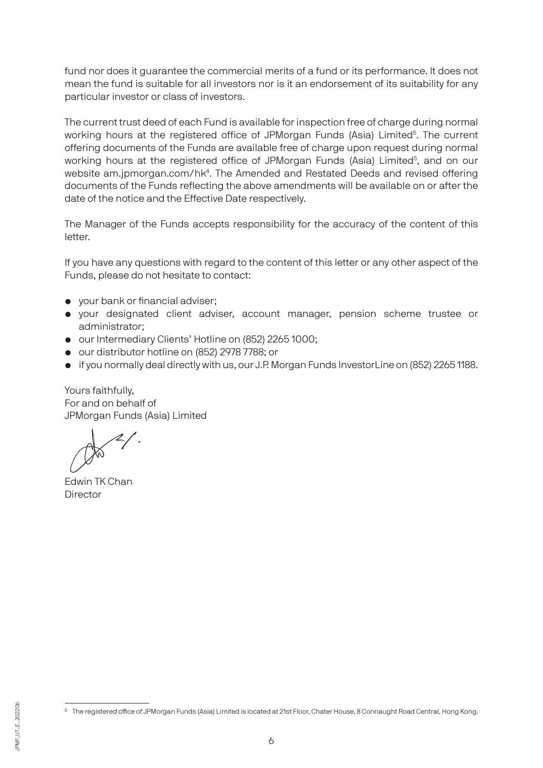fund nor does it guarantee the commercial merits of a fund or its performance. It does not mean the fund is suitable for all investors nor is it an endorsement of its suitability for any particular investor or class of investors.

The current trust deed of each Fund is available for inspection free of charge during normal working hours at the registered office of JPMorgan Funds (Asia) Limited<sup>5</sup>. The current offering documents of the Funds are available free of charge upon request during normal working hours at the registered office of JPMorgan Funds (Asia) Limited<sup>5</sup>, and on our website am.jpmorgan.com/hk<sup>4</sup>. The Amended and Restated Deeds and revised offering documents of the Funds reflecting the above amendments will be available on or after the date of the notice and the Effective Date respectively.

The Manager of the Funds accepts responsibility for the accuracy of the content of this letter.

If you have any questions with regard to the content of this letter or any other aspect of the Funds, please do not hesitate to contact:

- your bank or financial adviser;
- your designated client adviser, account manager, pension scheme trustee or administrator;
- our Intermediary Clients' Hotline on (852) 2265 1000;
- our distributor hotline on (852) 2978 7788; or
- if you normally deal directly with us, our J.P. Morgan Funds InvestorLine on (852) 2265 1188.

Yours faithfully, For and on behalf of JPMorgan Funds (Asia) Limited

Edwin TK Chan **Director** 

<sup>5</sup> The registered office of JPMorgan Funds (Asia) Limited is located at 21st Floor, Chater House, 8 Connaught Road Central, Hong Kong.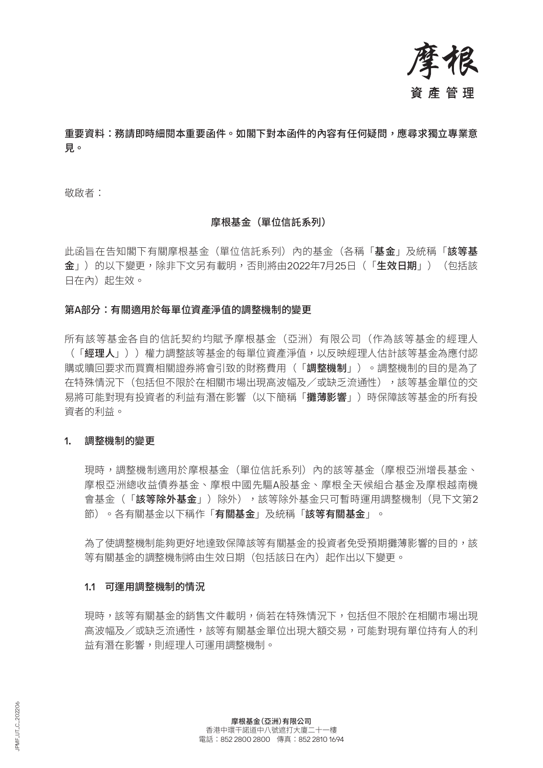

# 重要資料:務請即時細閱本重要函件。如閣下對本函件的內容有任何疑問,應尋求獨立專業意 見。

敬啟者:

## 摩根基金(單位信託系列)

此函旨在告知閣下有關摩根基金(單位信託系列)內的基金(各稱「**基金**」及統稱「**該等基** 金」)的以下變更,除非下文另有載明,否則將由2022年7月25日(「生效日期」)(包括該 日在內)起生效。

#### 第A部分:有關適用於每單位資產淨值的調整機制的變更

所有該等基金各自的信託契約均賦予摩根基金(亞洲)有限公司(作為該等基金的經理人 (「經理人」))權力調整該等基金的每單位資產淨值,以反映經理人估計該等基金為應付認 購或贖回要求而買賣相關證券將會引致的財務費用(「調整機制」)。調整機制的目的是為了 在特殊情況下(包括但不限於在相關市場出現高波幅及/或缺乏流通性),該等基金單位的交 易將可能對現有投資者的利益有潛在影響(以下簡稱「攤**薄影響」**)時保障該等基金的所有投 資者的利益。

#### 1. 調整機制的變更

現時,調整機制適用於摩根基金(單位信託系列)內的該等基金(摩根亞洲增長基金、 摩根亞洲總收益債券基金、摩根中國先驅A股基金、摩根全天候組合基金及摩根越南機 會基金(「**該等除外基金**」)除外),該等除外基金只可暫時運用調整機制(見下文第2 節)。各有關基金以下稱作「有關基金」及統稱「該等有關基金」。

為了使調整機制能夠更好地達致保障該等有關基金的投資者免受預期攤薄影響的目的,該 等有關基金的調整機制將由生效日期(包括該日在內)起作出以下變更。

#### 1.1 可運用調整機制的情況

現時,該等有關基金的銷售文件載明,倘若在特殊情況下,包括但不限於在相關市場出現 高波幅及/或缺乏流通性,該等有關基金單位出現大額交易,可能對現有單位持有人的利 益有潛在影響,則經理人可運用調整機制。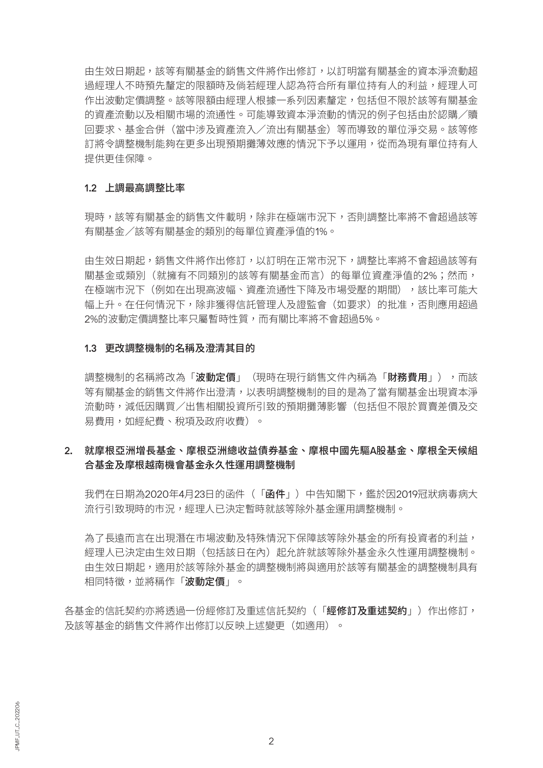由生效日期起,該等有關基金的銷售文件將作出修訂,以訂明當有關基金的資本淨流動超 過經理人不時預先釐定的限額時及倘若經理人認為符合所有單位持有人的利益,經理人可 作出波動定價調整。該等限額由經理人根據一系列因素釐定,包括但不限於該等有關基金 的資產流動以及相關市場的流通性。可能導致資本淨流動的情況的例子包括由於認購/贖 回要求、基金合併(當中涉及資產流入/流出有關基金)等而導致的單位淨交易。該等修 訂將令調整機制能夠在更多出現預期攤薄效應的情況下予以運用,從而為現有單位持有人 提供更佳保障。

#### 1.2 上調最高調整比率

現時,該等有關基金的銷售文件載明,除非在極端市況下,否則調整比率將不會超過該等 有關基金/該等有關基金的類別的每單位資產淨值的1%。

由生效日期起,銷售文件將作出修訂,以訂明在正常市況下,調整比率將不會超過該等有 關基金或類別(就擁有不同類別的該等有關基金而言)的每單位資產淨值的2%;然而, 在極端市況下(例如在出現高波幅、資產流通性下降及市場受壓的期間),該比率可能大 幅上升。在任何情況下,除非獲得信託管理人及證監會(如要求)的批准,否則應用超過 2%的波動定價調整比率只屬暫時性質,而有關比率將不會超過5%。

#### 1.3 更改調整機制的名稱及澄清其目的

調整機制的名稱將改為「**波動定價**」(現時在現行銷售文件內稱為「**財務費用」)**,而該 等有關基金的銷售文件將作出澄清,以表明調整機制的目的是為了當有關基金出現資本淨 流動時,減低因購買/出售相關投資所引致的預期攤薄影響(包括但不限於買賣差價及交 易費用,如經紀費、稅項及政府收費)。

# 2. 就摩根亞洲增長基金、摩根亞洲總收益債券基金、摩根中國先驅A股基金、摩根全天候組 合基金及摩根越南機會基金永久性運用調整機制

我們在日期為2020年4月23日的函件(「函件」)中告知閣下,鑑於因2019冠狀病毒病大 流行引致現時的市況,經理人已決定暫時就該等除外基金運用調整機制。

為了長遠而言在出現潛在市場波動及特殊情況下保障該等除外基金的所有投資者的利益, 經理人已決定由生效日期(包括該日在內)起允許就該等除外基金永久性運用調整機制。 由生效日期起,適用於該等除外基金的調整機制將與適用於該等有關基金的調整機制具有 相同特徵,並將稱作「波動定價」。

各基金的信託契約亦將透過一份經修訂及重述信託契約(「**經修訂及重述契約**」)作出修訂, 及該等基金的銷售文件將作出修訂以反映上述變更(如適用)。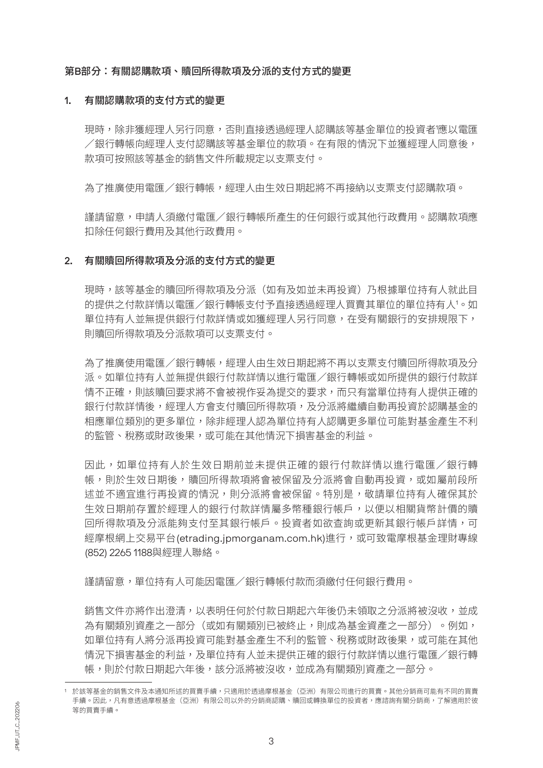#### 第B部分:有關認購款項、贖回所得款項及分派的支付方式的變更

#### 1. 有關認購款項的支付方式的變更

現時,除非獲經理人另行同意,否則直接透過經理人認購該等基金單位的投資者'應以電匯 /銀行轉帳向經理人支付認購該等基金單位的款項。在有限的情況下並獲經理人同意後, 款項可按照該等基金的銷售文件所載規定以支票支付。

為了推廣使用電匯/銀行轉帳,經理人由生效日期起將不再接納以支票支付認購款項。

謹請留意,申請人須繳付電匯/銀行轉帳所產生的任何銀行或其他行政費用。認購款項應 扣除任何銀行費用及其他行政費用。

#### 2. 有關贖回所得款項及分派的支付方式的變更

現時,該等基金的贖回所得款項及分派(如有及如並未再投資)乃根據單位持有人就此目 的提供之付款詳情以電匯/銀行轉帳支付予直接透過經理人買賣其單位的單位持有人'。如 單位持有人並無提供銀行付款詳情或如獲經理人另行同意,在受有關銀行的安排規限下, 則贖回所得款項及分派款項可以支票支付。

為了推廣使用電匯/銀行轉帳,經理人由生效日期起將不再以支票支付贖回所得款項及分 派。如單位持有人並無提供銀行付款詳情以進行電匯/銀行轉帳或如所提供的銀行付款詳 情不正確,則該贖回要求將不會被視作妥為提交的要求,而只有當單位持有人提供正確的 銀行付款詳情後,經理人方會支付贖回所得款項,及分派將繼續自動再投資於認購基金的 相應單位類別的更多單位,除非經理人認為單位持有人認購更多單位可能對基金產生不利 的監管、稅務或財政後果,或可能在其他情況下損害基金的利益。

因此,如單位持有人於生效日期前並未提供正確的銀行付款詳情以進行電匯/銀行轉 帳,則於生效日期後,贖回所得款項將會被保留及分派將會自動再投資,或如屬前段所 述並不適宜進行再投資的情況,則分派將會被保留。特別是,敬請單位持有人確保其於 生效日期前存置於經理人的銀行付款詳情屬多幣種銀行帳戶,以便以相關貨幣計價的贖 回所得款項及分派能夠支付至其銀行帳戶。投資者如欲查詢或更新其銀行帳戶詳情,可 經摩根網上交易平台(etrading.jpmorganam.com.hk)進行,或可致電摩根基金理財專線 (852) 2265 1188與經理人聯絡。

謹請留意,單位持有人可能因電匯/銀行轉帳付款而須繳付任何銀行費用。

銷售文件亦將作出澄清,以表明任何於付款日期起六年後仍未領取之分派將被沒收,並成 為有關類別資產之一部分(或如有關類別已被終止,則成為基金資產之一部分)。例如, 如單位持有人將分派再投資可能對基金產生不利的監管、稅務或財政後果,或可能在其他 情況下損害基金的利益,及單位持有人並未提供正確的銀行付款詳情以進行電匯/銀行轉 帳,則於付款日期起六年後,該分派將被沒收,並成為有關類別資產之一部分。

<sup>1</sup> 於該等基金的銷售文件及本通知所述的買賣手續,只適用於透過摩根基金(亞洲)有限公司進行的買賣。其他分銷商可能有不同的買賣 手續。因此,凡有意透過摩根基金(亞洲)有限公司以外的分銷商認購、贖回或轉換單位的投資者,應諮詢有關分銷商,了解適用於彼 等的買賣手續。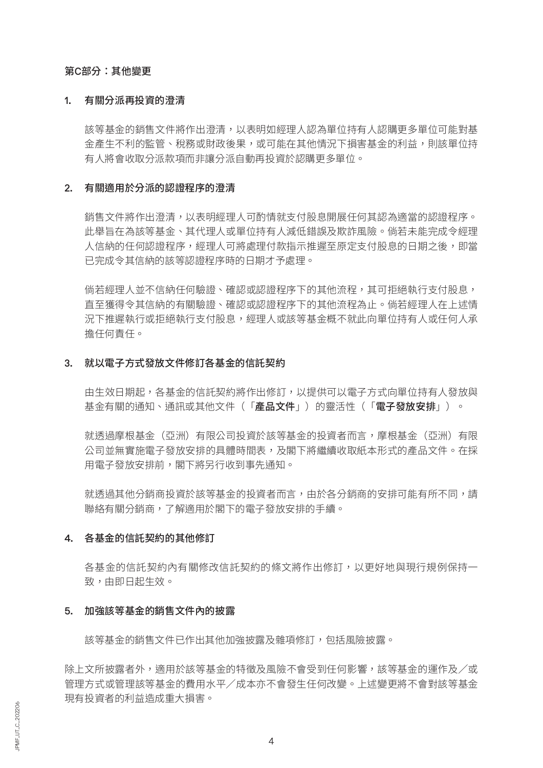#### 第C部分:其他變更

#### 1. 有關分派再投資的澄清

該等基金的銷售文件將作出澄清,以表明如經理人認為單位持有人認購更多單位可能對基 金產生不利的監管、稅務或財政後果,或可能在其他情況下損害基金的利益,則該單位持 有人將會收取分派款項而非讓分派自動再投資於認購更多單位。

#### 2. 有關適用於分派的認證程序的澄清

銷售文件將作出澄清,以表明經理人可酌情就支付股息開展任何其認為適當的認證程序。 此舉旨在為該等基金、其代理人或單位持有人減低錯誤及欺詐風險。倘若未能完成令經理 人信納的任何認證程序,經理人可將處理付款指示推遲至原定支付股息的日期之後,即當 已完成令其信納的該等認證程序時的日期才予處理。

倘若經理人並不信納任何驗證、確認或認證程序下的其他流程,其可拒絕執行支付股息, 直至獲得令其信納的有關驗證、確認或認證程序下的其他流程為止。倘若經理人在上述情 況下推遲執行或拒絕執行支付股息,經理人或該等基金概不就此向單位持有人或任何人承 擔任何責任。

#### 3. 就以電子方式發放文件修訂各基金的信託契約

由生效日期起,各基金的信託契約將作出修訂,以提供可以電子方式向單位持有人發放與 基金有關的通知、通訊或其他文件(「產品文件」)的靈活性(「電子發放安排」)。

就透過摩根基金(亞洲)有限公司投資於該等基金的投資者而言,摩根基金(亞洲)有限 公司並無實施電子發放安排的具體時間表,及閣下將繼續收取紙本形式的產品文件。在採 用電子發放安排前,閣下將另行收到事先通知。

就透過其他分銷商投資於該等基金的投資者而言,由於各分銷商的安排可能有所不同,請 聯絡有關分銷商,了解適用於閣下的電子發放安排的手續。

#### 4. 各基金的信託契約的其他修訂

各基金的信託契約內有關修改信託契約的條文將作出修訂,以更好地與現行規例保持一 致,由即日起生效。

#### 5. 加強該等基金的銷售文件內的披露

該等基金的銷售文件已作出其他加強披露及雜項修訂,包括風險披露。

除上文所披露者外,適用於該等基金的特徵及風險不會受到任何影響,該等基金的運作及/或 管理方式或管理該等基金的費用水平/成本亦不會發生任何改變。上述變更將不會對該等基金 現有投資者的利益造成重大損害。